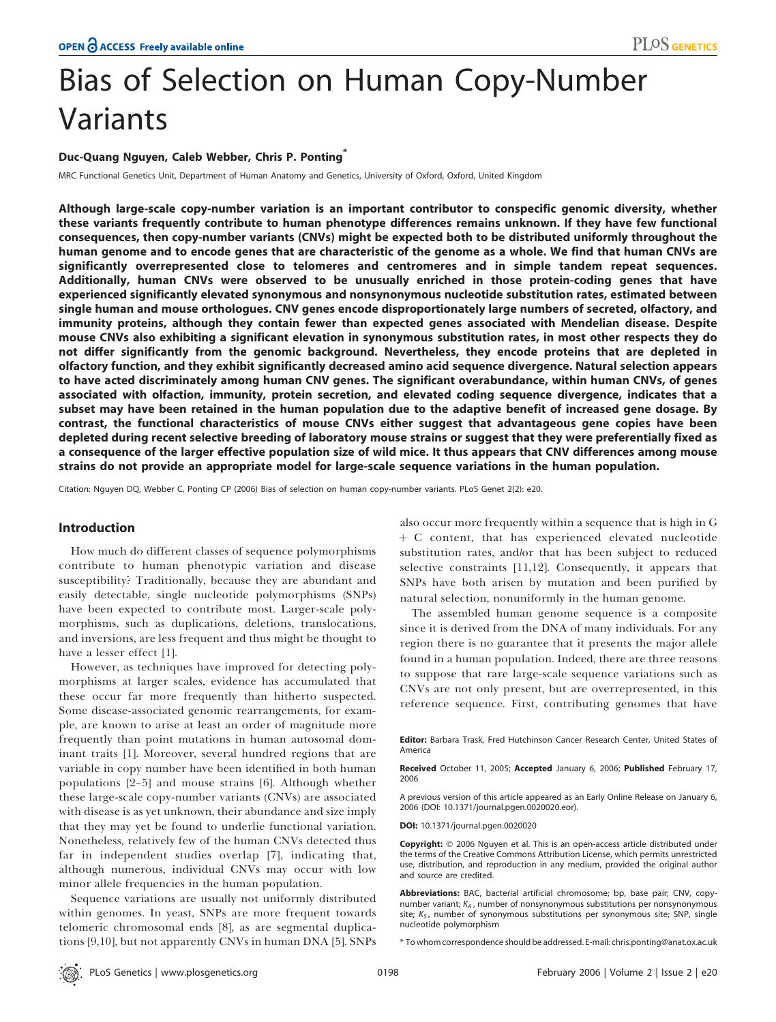# Bias of Selection on Human Copy-Number Variants

# Duc-Quang Nguyen, Caleb Webber, Chris P. Ponting<sup>\*</sup>

MRC Functional Genetics Unit, Department of Human Anatomy and Genetics, University of Oxford, Oxford, United Kingdom

Although large-scale copy-number variation is an important contributor to conspecific genomic diversity, whether these variants frequently contribute to human phenotype differences remains unknown. If they have few functional consequences, then copy-number variants (CNVs) might be expected both to be distributed uniformly throughout the human genome and to encode genes that are characteristic of the genome as a whole. We find that human CNVs are significantly overrepresented close to telomeres and centromeres and in simple tandem repeat sequences. Additionally, human CNVs were observed to be unusually enriched in those protein-coding genes that have experienced significantly elevated synonymous and nonsynonymous nucleotide substitution rates, estimated between single human and mouse orthologues. CNV genes encode disproportionately large numbers of secreted, olfactory, and immunity proteins, although they contain fewer than expected genes associated with Mendelian disease. Despite mouse CNVs also exhibiting a significant elevation in synonymous substitution rates, in most other respects they do not differ significantly from the genomic background. Nevertheless, they encode proteins that are depleted in olfactory function, and they exhibit significantly decreased amino acid sequence divergence. Natural selection appears to have acted discriminately among human CNV genes. The significant overabundance, within human CNVs, of genes associated with olfaction, immunity, protein secretion, and elevated coding sequence divergence, indicates that a subset may have been retained in the human population due to the adaptive benefit of increased gene dosage. By contrast, the functional characteristics of mouse CNVs either suggest that advantageous gene copies have been depleted during recent selective breeding of laboratory mouse strains or suggest that they were preferentially fixed as a consequence of the larger effective population size of wild mice. It thus appears that CNV differences among mouse strains do not provide an appropriate model for large-scale sequence variations in the human population.

Citation: Nguyen DQ, Webber C, Ponting CP (2006) Bias of selection on human copy-number variants. PLoS Genet 2(2): e20.

### Introduction

How much do different classes of sequence polymorphisms contribute to human phenotypic variation and disease susceptibility? Traditionally, because they are abundant and easily detectable, single nucleotide polymorphisms (SNPs) have been expected to contribute most. Larger-scale polymorphisms, such as duplications, deletions, translocations, and inversions, are less frequent and thus might be thought to have a lesser effect [1].

However, as techniques have improved for detecting polymorphisms at larger scales, evidence has accumulated that these occur far more frequently than hitherto suspected. Some disease-associated genomic rearrangements, for example, are known to arise at least an order of magnitude more frequently than point mutations in human autosomal dominant traits [1]. Moreover, several hundred regions that are variable in copy number have been identified in both human populations [2–5] and mouse strains [6]. Although whether these large-scale copy-number variants (CNVs) are associated with disease is as yet unknown, their abundance and size imply that they may yet be found to underlie functional variation. Nonetheless, relatively few of the human CNVs detected thus far in independent studies overlap [7], indicating that, although numerous, individual CNVs may occur with low minor allele frequencies in the human population.

Sequence variations are usually not uniformly distributed within genomes. In yeast, SNPs are more frequent towards telomeric chromosomal ends [8], as are segmental duplications [9,10], but not apparently CNVs in human DNA [5]. SNPs

also occur more frequently within a sequence that is high in G þ C content, that has experienced elevated nucleotide substitution rates, and/or that has been subject to reduced selective constraints [11,12]. Consequently, it appears that SNPs have both arisen by mutation and been purified by natural selection, nonuniformly in the human genome.

The assembled human genome sequence is a composite since it is derived from the DNA of many individuals. For any region there is no guarantee that it presents the major allele found in a human population. Indeed, there are three reasons to suppose that rare large-scale sequence variations such as CNVs are not only present, but are overrepresented, in this reference sequence. First, contributing genomes that have

Editor: Barbara Trask, Fred Hutchinson Cancer Research Center, United States of America

Received October 11, 2005; Accepted January 6, 2006; Published February 17, 2006

A previous version of this article appeared as an Early Online Release on January 6, 2006 (DOI: 10.1371/journal.pgen.0020020.eor).

DOI: 10.1371/journal.pgen.0020020

Copyright: © 2006 Nguyen et al. This is an open-access article distributed under the terms of the Creative Commons Attribution License, which permits unrestricted use, distribution, and reproduction in any medium, provided the original author and source are credited.

Abbreviations: BAC, bacterial artificial chromosome; bp, base pair; CNV, copynumber variant;  $K_A$ , number of nonsynonymous substitutions per nonsynonymous site;  $K<sub>S</sub>$ , number of synonymous substitutions per synonymous site; SNP, single nucleotide polymorphism

\* To whom correspondence should be addressed. E-mail: chris.ponting@anat.ox.ac.uk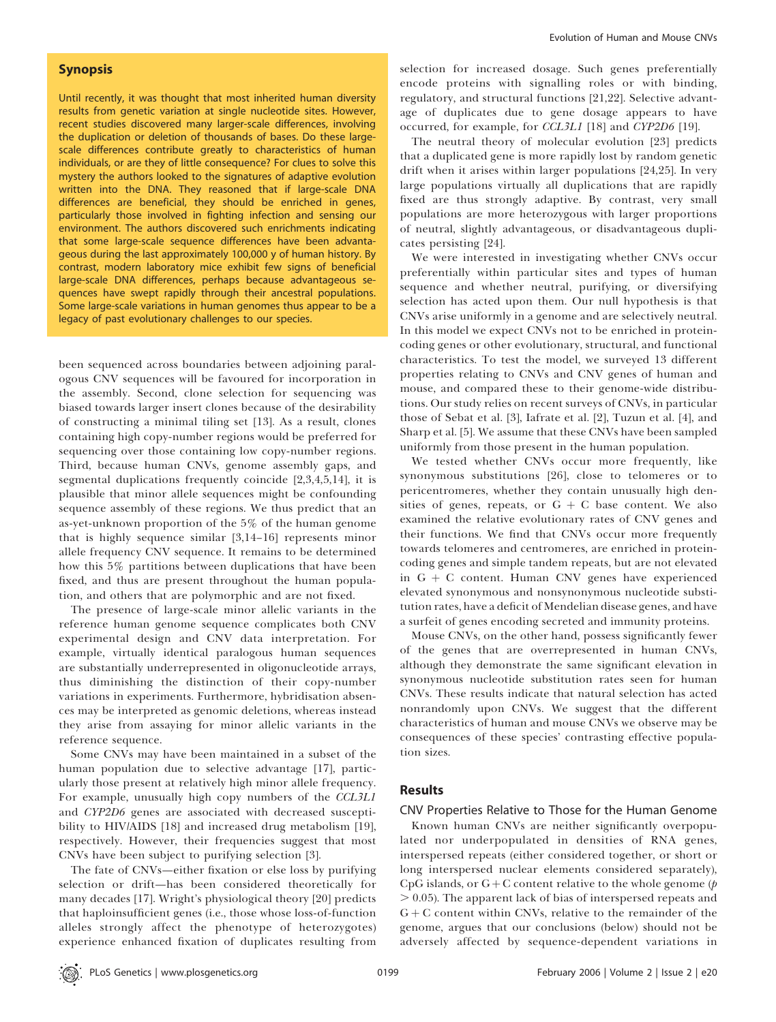# Synopsis

Until recently, it was thought that most inherited human diversity results from genetic variation at single nucleotide sites. However, recent studies discovered many larger-scale differences, involving the duplication or deletion of thousands of bases. Do these largescale differences contribute greatly to characteristics of human individuals, or are they of little consequence? For clues to solve this mystery the authors looked to the signatures of adaptive evolution written into the DNA. They reasoned that if large-scale DNA differences are beneficial, they should be enriched in genes, particularly those involved in fighting infection and sensing our environment. The authors discovered such enrichments indicating that some large-scale sequence differences have been advantageous during the last approximately 100,000 y of human history. By contrast, modern laboratory mice exhibit few signs of beneficial large-scale DNA differences, perhaps because advantageous sequences have swept rapidly through their ancestral populations. Some large-scale variations in human genomes thus appear to be a legacy of past evolutionary challenges to our species.

been sequenced across boundaries between adjoining paralogous CNV sequences will be favoured for incorporation in the assembly. Second, clone selection for sequencing was biased towards larger insert clones because of the desirability of constructing a minimal tiling set [13]. As a result, clones containing high copy-number regions would be preferred for sequencing over those containing low copy-number regions. Third, because human CNVs, genome assembly gaps, and segmental duplications frequently coincide [2,3,4,5,14], it is plausible that minor allele sequences might be confounding sequence assembly of these regions. We thus predict that an as-yet-unknown proportion of the 5% of the human genome that is highly sequence similar [3,14–16] represents minor allele frequency CNV sequence. It remains to be determined how this 5% partitions between duplications that have been fixed, and thus are present throughout the human population, and others that are polymorphic and are not fixed.

The presence of large-scale minor allelic variants in the reference human genome sequence complicates both CNV experimental design and CNV data interpretation. For example, virtually identical paralogous human sequences are substantially underrepresented in oligonucleotide arrays, thus diminishing the distinction of their copy-number variations in experiments. Furthermore, hybridisation absences may be interpreted as genomic deletions, whereas instead they arise from assaying for minor allelic variants in the reference sequence.

Some CNVs may have been maintained in a subset of the human population due to selective advantage [17], particularly those present at relatively high minor allele frequency. For example, unusually high copy numbers of the CCL3L1 and CYP2D6 genes are associated with decreased susceptibility to HIV/AIDS [18] and increased drug metabolism [19], respectively. However, their frequencies suggest that most CNVs have been subject to purifying selection [3].

The fate of CNVs—either fixation or else loss by purifying selection or drift—has been considered theoretically for many decades [17]. Wright's physiological theory [20] predicts that haploinsufficient genes (i.e., those whose loss-of-function alleles strongly affect the phenotype of heterozygotes) experience enhanced fixation of duplicates resulting from selection for increased dosage. Such genes preferentially encode proteins with signalling roles or with binding, regulatory, and structural functions [21,22]. Selective advantage of duplicates due to gene dosage appears to have occurred, for example, for CCL3L1 [18] and CYP2D6 [19].

The neutral theory of molecular evolution [23] predicts that a duplicated gene is more rapidly lost by random genetic drift when it arises within larger populations [24,25]. In very large populations virtually all duplications that are rapidly fixed are thus strongly adaptive. By contrast, very small populations are more heterozygous with larger proportions of neutral, slightly advantageous, or disadvantageous duplicates persisting [24].

We were interested in investigating whether CNVs occur preferentially within particular sites and types of human sequence and whether neutral, purifying, or diversifying selection has acted upon them. Our null hypothesis is that CNVs arise uniformly in a genome and are selectively neutral. In this model we expect CNVs not to be enriched in proteincoding genes or other evolutionary, structural, and functional characteristics. To test the model, we surveyed 13 different properties relating to CNVs and CNV genes of human and mouse, and compared these to their genome-wide distributions. Our study relies on recent surveys of CNVs, in particular those of Sebat et al. [3], Iafrate et al. [2], Tuzun et al. [4], and Sharp et al. [5]. We assume that these CNVs have been sampled uniformly from those present in the human population.

We tested whether CNVs occur more frequently, like synonymous substitutions [26], close to telomeres or to pericentromeres, whether they contain unusually high densities of genes, repeats, or  $G + C$  base content. We also examined the relative evolutionary rates of CNV genes and their functions. We find that CNVs occur more frequently towards telomeres and centromeres, are enriched in proteincoding genes and simple tandem repeats, but are not elevated in  $G + C$  content. Human CNV genes have experienced elevated synonymous and nonsynonymous nucleotide substitution rates, have a deficit of Mendelian disease genes, and have a surfeit of genes encoding secreted and immunity proteins.

Mouse CNVs, on the other hand, possess significantly fewer of the genes that are overrepresented in human CNVs, although they demonstrate the same significant elevation in synonymous nucleotide substitution rates seen for human CNVs. These results indicate that natural selection has acted nonrandomly upon CNVs. We suggest that the different characteristics of human and mouse CNVs we observe may be consequences of these species' contrasting effective population sizes.

# **Results**

CNV Properties Relative to Those for the Human Genome

Known human CNVs are neither significantly overpopulated nor underpopulated in densities of RNA genes, interspersed repeats (either considered together, or short or long interspersed nuclear elements considered separately), CpG islands, or  $G + C$  content relative to the whole genome ( $p$  $> 0.05$ ). The apparent lack of bias of interspersed repeats and  $G + C$  content within CNVs, relative to the remainder of the genome, argues that our conclusions (below) should not be adversely affected by sequence-dependent variations in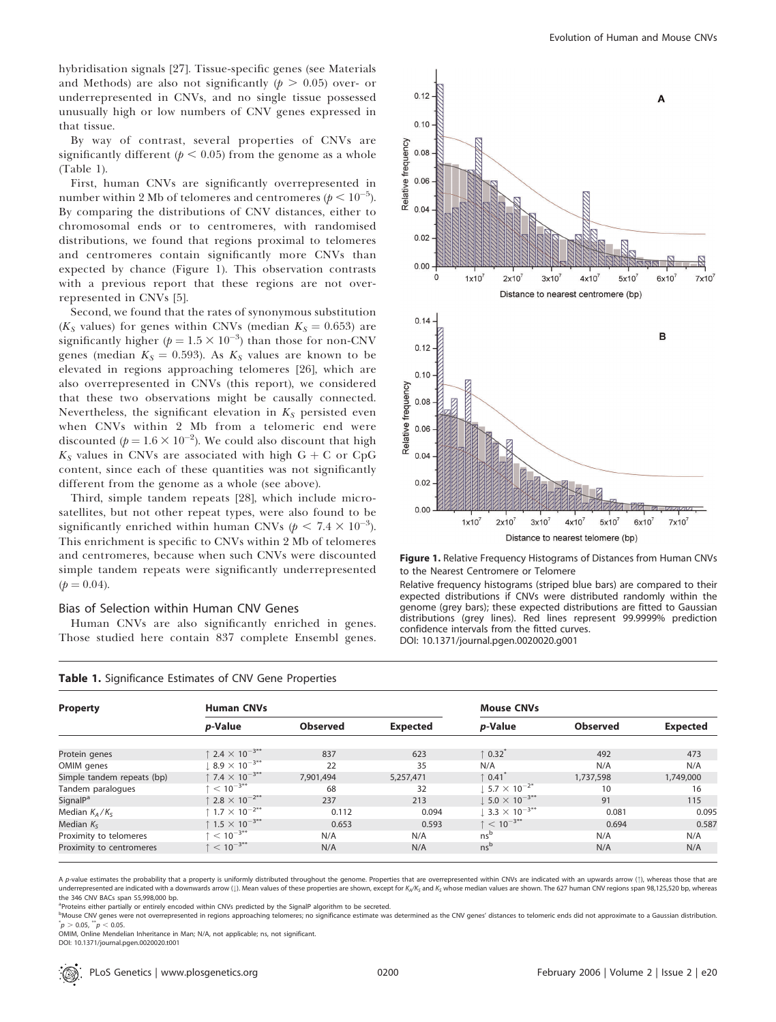hybridisation signals [27]. Tissue-specific genes (see Materials and Methods) are also not significantly ( $p > 0.05$ ) over- or underrepresented in CNVs, and no single tissue possessed unusually high or low numbers of CNV genes expressed in that tissue.

By way of contrast, several properties of CNVs are significantly different ( $p < 0.05$ ) from the genome as a whole (Table 1).

First, human CNVs are significantly overrepresented in number within 2 Mb of telomeres and centromeres ( $p < 10^{-5}$ ). By comparing the distributions of CNV distances, either to chromosomal ends or to centromeres, with randomised distributions, we found that regions proximal to telomeres and centromeres contain significantly more CNVs than expected by chance (Figure 1). This observation contrasts with a previous report that these regions are not overrepresented in CNVs [5].

Second, we found that the rates of synonymous substitution ( $K<sub>S</sub>$  values) for genes within CNVs (median  $K<sub>S</sub> = 0.653$ ) are significantly higher ( $p = 1.5 \times 10^{-3}$ ) than those for non-CNV genes (median  $K_S = 0.593$ ). As  $K_S$  values are known to be elevated in regions approaching telomeres [26], which are also overrepresented in CNVs (this report), we considered that these two observations might be causally connected. Nevertheless, the significant elevation in  $K_S$  persisted even when CNVs within 2 Mb from a telomeric end were discounted ( $p = 1.6 \times 10^{-2}$ ). We could also discount that high  $K<sub>S</sub>$  values in CNVs are associated with high  $G + C$  or CpG content, since each of these quantities was not significantly different from the genome as a whole (see above).

Third, simple tandem repeats [28], which include microsatellites, but not other repeat types, were also found to be significantly enriched within human CNVs ( $p < 7.4 \times 10^{-3}$ ). This enrichment is specific to CNVs within 2 Mb of telomeres and centromeres, because when such CNVs were discounted simple tandem repeats were significantly underrepresented  $(p = 0.04)$ .

#### Bias of Selection within Human CNV Genes

Human CNVs are also significantly enriched in genes. Those studied here contain 837 complete Ensembl genes.



Figure 1. Relative Frequency Histograms of Distances from Human CNVs to the Nearest Centromere or Telomere

Relative frequency histograms (striped blue bars) are compared to their expected distributions if CNVs were distributed randomly within the genome (grey bars); these expected distributions are fitted to Gaussian distributions (grey lines). Red lines represent 99.9999% prediction confidence intervals from the fitted curves.

DOI: 10.1371/journal.pgen.0020020.g001

| <b>Property</b>            | <b>Human CNVs</b>                          |                 |           | <b>Mouse CNVs</b>                                |                 |                 |
|----------------------------|--------------------------------------------|-----------------|-----------|--------------------------------------------------|-----------------|-----------------|
|                            | p-Value                                    | <b>Observed</b> | Expected  | p-Value                                          | <b>Observed</b> | <b>Expected</b> |
| Protein genes              | $\uparrow$ 2.4 $\times$ 10 <sup>-3**</sup> | 837             | 623       | $\uparrow$ 0.32                                  | 492             | 473             |
| OMIM genes                 | $8.9 \times 10^{-3**}$                     | 22              | 35        | N/A                                              | N/A             | N/A             |
| Simple tandem repeats (bp) | $\uparrow$ 7.4 $\times$ 10 <sup>-3**</sup> | 7.901.494       | 5,257,471 | $\uparrow$ 0.41 <sup><math>\tilde{}</math></sup> | 1,737,598       | 1,749,000       |
| Tandem paralogues          | $\tau < 10^{-3**}$                         | 68              | 32        | $5.7 \times 10^{-2^*}$                           | 10              | 16              |
| SignalP <sup>a</sup>       | $\uparrow$ 2.8 $\times$ 10 <sup>-2**</sup> | 237             | 213       | $1.5.0 \times 10^{-3**}$                         | 91              | 115             |
| Median $K_A/K_S$           | $\uparrow$ 1.7 $\times$ 10 <sup>-2**</sup> | 0.112           | 0.094     | $3.3 \times 10^{-3**}$                           | 0.081           | 0.095           |
| Median $K_{S}$             | ↑ 1.5 $\times$ 10 <sup>-3**</sup>          | 0.653           | 0.593     | $\uparrow$ < 10 <sup>-3**</sup>                  | 0.694           | 0.587           |
| Proximity to telomeres     | $\uparrow$ < 10 <sup>-3**</sup>            | N/A             | N/A       | ns <sup>b</sup>                                  | N/A             | N/A             |
| Proximity to centromeres   | $\uparrow$ < 10 <sup>-3**</sup>            | N/A             | N/A       | ns <sup>b</sup>                                  | N/A             | N/A             |

|  | Table 1. Significance Estimates of CNV Gene Properties |  |  |  |  |  |  |  |  |
|--|--------------------------------------------------------|--|--|--|--|--|--|--|--|
|--|--------------------------------------------------------|--|--|--|--|--|--|--|--|

A p-value estimates the probability that a property is uniformly distributed throughout the genome. Properties that are overrepresented within CNVs are indicated with an upwards arrow (1), whereas those that are underrepresented are indicated with a downwards arrow (1). Mean values of these properties are shown, except for K<sub>A</sub>/K<sub>S</sub> and K<sub>S</sub> whose median values are shown. The 627 human CNV regions span 98,125,520 bp, whereas the 346 CNV BACs span 55,998,000 bp.

<sup>a</sup>Proteins either partially or entirely encoded within CNVs predicted by the SignalP algorithm to be secreted.

<sup>b</sup>Mouse CNV genes were not overrepresented in regions approaching telomeres; no significance estimate was determined as the CNV genes' distances to telomeric ends did not approximate to a Gaussian distribution.  $p > 0.05, \sqrt[3n]{p} < 0.05.$ 

OMIM, Online Mendelian Inheritance in Man; N/A, not applicable; ns, not significant. DOI: 10.1371/journal.pgen.0020020.t001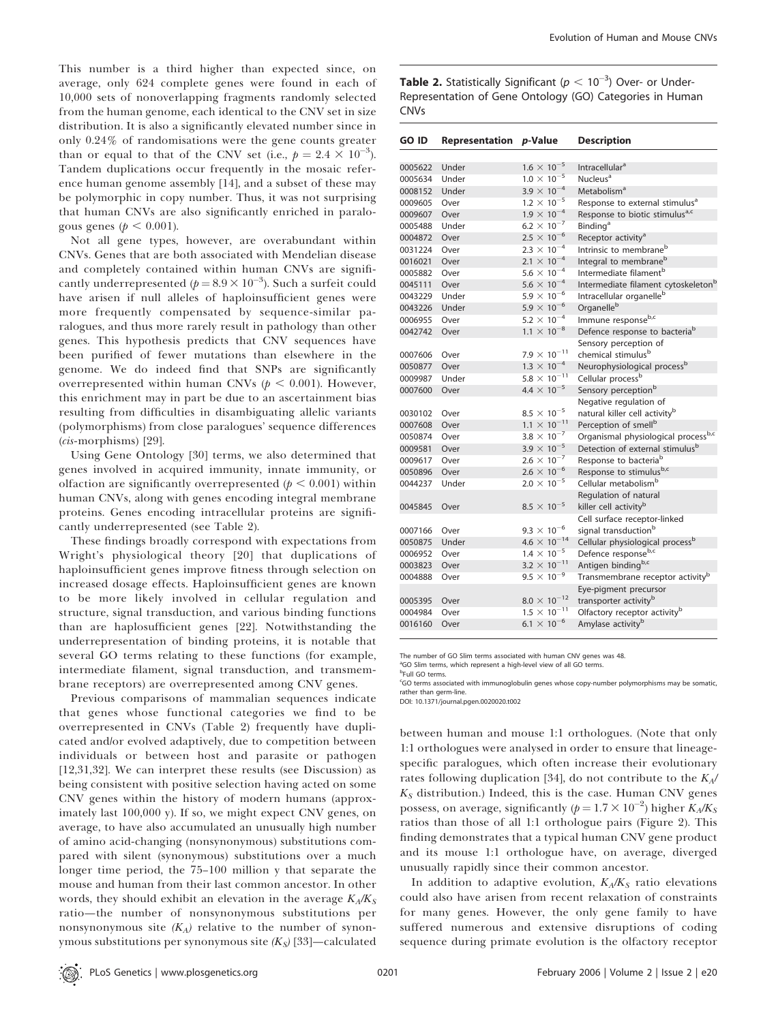This number is a third higher than expected since, on average, only 624 complete genes were found in each of 10,000 sets of nonoverlapping fragments randomly selected from the human genome, each identical to the CNV set in size distribution. It is also a significantly elevated number since in only 0.24% of randomisations were the gene counts greater than or equal to that of the CNV set (i.e.,  $p = 2.4 \times 10^{-3}$ ). Tandem duplications occur frequently in the mosaic reference human genome assembly [14], and a subset of these may be polymorphic in copy number. Thus, it was not surprising that human CNVs are also significantly enriched in paralogous genes ( $p < 0.001$ ).

Not all gene types, however, are overabundant within CNVs. Genes that are both associated with Mendelian disease and completely contained within human CNVs are significantly underrepresented ( $p = 8.9 \times 10^{-3}$ ). Such a surfeit could have arisen if null alleles of haploinsufficient genes were more frequently compensated by sequence-similar paralogues, and thus more rarely result in pathology than other genes. This hypothesis predicts that CNV sequences have been purified of fewer mutations than elsewhere in the genome. We do indeed find that SNPs are significantly overrepresented within human CNVs ( $p < 0.001$ ). However, this enrichment may in part be due to an ascertainment bias resulting from difficulties in disambiguating allelic variants (polymorphisms) from close paralogues' sequence differences  $(cis$ -morphisms) [29].

Using Gene Ontology [30] terms, we also determined that genes involved in acquired immunity, innate immunity, or olfaction are significantly overrepresented ( $p < 0.001$ ) within human CNVs, along with genes encoding integral membrane proteins. Genes encoding intracellular proteins are significantly underrepresented (see Table 2).

These findings broadly correspond with expectations from Wright's physiological theory [20] that duplications of haploinsufficient genes improve fitness through selection on increased dosage effects. Haploinsufficient genes are known to be more likely involved in cellular regulation and structure, signal transduction, and various binding functions than are haplosufficient genes [22]. Notwithstanding the underrepresentation of binding proteins, it is notable that several GO terms relating to these functions (for example, intermediate filament, signal transduction, and transmembrane receptors) are overrepresented among CNV genes.

Previous comparisons of mammalian sequences indicate that genes whose functional categories we find to be overrepresented in CNVs (Table 2) frequently have duplicated and/or evolved adaptively, due to competition between individuals or between host and parasite or pathogen [12,31,32]. We can interpret these results (see Discussion) as being consistent with positive selection having acted on some CNV genes within the history of modern humans (approximately last 100,000 y). If so, we might expect CNV genes, on average, to have also accumulated an unusually high number of amino acid-changing (nonsynonymous) substitutions compared with silent (synonymous) substitutions over a much longer time period, the 75–100 million y that separate the mouse and human from their last common ancestor. In other words, they should exhibit an elevation in the average  $K_A/K_S$ ratio—the number of nonsynonymous substitutions per nonsynonymous site  $(K_A)$  relative to the number of synonymous substitutions per synonymous site  $(K_S)$  [33]—calculated

**Table 2.** Statistically Significant ( $p < 10^{-3}$ ) Over- or Under-Representation of Gene Ontology (GO) Categories in Human CNVs

| <b>GO ID</b> | Representation p-Value |                               | <b>Description</b>                              |
|--------------|------------------------|-------------------------------|-------------------------------------------------|
|              |                        |                               |                                                 |
| 0005622      | Under                  | $1.6 \times 10^{-5}$          | Intracellular <sup>a</sup>                      |
| 0005634      | Under                  | $1.0 \times 10^{-5}$          | Nucleus <sup>a</sup>                            |
| 0008152      | Under                  | $3.9 \times 10^{-4}$          | Metabolism <sup>a</sup>                         |
| 0009605      | Over                   | $1.2 \times 10^{-5}$          | Response to external stimulus <sup>a</sup>      |
| 0009607      | Over                   | $1.9 \times 10^{-4}$          | Response to biotic stimulus <sup>a,c</sup>      |
| 0005488      | Under                  | $6.2 \times 10^{-7}$          | <b>Binding</b> <sup>a</sup>                     |
| 0004872      | Over                   | $2.5 \times 10^{-6}$          | Receptor activity <sup>a</sup>                  |
| 0031224      | Over                   | $2.3 \times 10^{-4}$          | Intrinsic to membrane <sup>b</sup>              |
| 0016021      | Over                   | $2.1 \times 10^{-4}$          | Integral to membrane <sup>b</sup>               |
| 0005882      | Over                   | $5.6 \times 10^{-4}$          | Intermediate filament <sup>b</sup>              |
| 0045111      | Over                   | 5.6 $\times$ 10 <sup>-4</sup> | Intermediate filament cytoskeleton <sup>b</sup> |
| 0043229      | Under                  | $5.9 \times 10^{-6}$          | Intracellular organelle <sup>b</sup>            |
| 0043226      | Under                  | $5.9 \times 10^{-6}$          | Organelle <sup>b</sup>                          |
| 0006955      | Over                   | $5.2 \times 10^{-4}$          | Immune responseb,c                              |
| 0042742      | Over                   | $1.1 \times 10^{-8}$          | Defence response to bacteria <sup>b</sup>       |
|              |                        |                               | Sensory perception of                           |
| 0007606      | Over                   | $7.9 \times 10^{-11}$         | chemical stimulus <sup>b</sup>                  |
| 0050877      | Over                   | $1.3 \times 10^{-4}$          | Neurophysiological process <sup>b</sup>         |
| 0009987      | Under                  | $5.8 \times 10^{-11}$         | Cellular process <sup>b</sup>                   |
| 0007600      | Over                   | $4.4 \times 10^{-5}$          | Sensory perception <sup>b</sup>                 |
|              |                        |                               | Negative regulation of                          |
| 0030102      | Over                   | $8.5 \times 10^{-5}$          | natural killer cell activity <sup>b</sup>       |
| 0007608      | Over                   | $1.1 \times 10^{-11}$         | Perception of smell <sup>b</sup>                |
| 0050874      | Over                   | $3.8 \times 10^{-7}$          | Organismal physiological processb,c             |
| 0009581      | Over                   | $3.9 \times 10^{-5}$          | Detection of external stimulus <sup>b</sup>     |
| 0009617      | Over                   | $2.6 \times 10^{-7}$          | Response to bacteria <sup>b</sup>               |
| 0050896      | Over                   | $2.6 \times 10^{-6}$          | Response to stimulusb,c                         |
| 0044237      | Under                  | $2.0 \times 10^{-5}$          | Cellular metabolism <sup>b</sup>                |
|              |                        |                               | Regulation of natural                           |
| 0045845      | Over                   | $8.5 \times 10^{-5}$          | killer cell activity <sup>b</sup>               |
|              |                        |                               | Cell surface receptor-linked                    |
| 0007166      | Over                   | $9.3 \times 10^{-6}$          | signal transduction <sup>b</sup>                |
| 0050875      | Under                  | $4.6 \times 10^{-14}$         | Cellular physiological process <sup>b</sup>     |
| 0006952      | Over                   | $1.4 \times 10^{-5}$          | Defence responseb,c                             |
| 0003823      | Over                   | $3.2 \times 10^{-11}$         | Antigen bindingb,c                              |
| 0004888      | Over                   | $9.5 \times 10^{-9}$          | Transmembrane receptor activity <sup>b</sup>    |
|              |                        |                               | Eye-pigment precursor                           |
| 0005395      | Over                   | $8.0 \times 10^{-12}$         | transporter activity <sup>b</sup>               |
| 0004984      | Over                   | $1.5 \times 10^{-11}$         | Olfactory receptor activity <sup>b</sup>        |
| 0016160      | Over                   | $6.1 \times 10^{-6}$          | Amylase activity <sup>b</sup>                   |
|              |                        |                               |                                                 |

The number of GO Slim terms associated with human CNV genes was 48.

<sup>a</sup>GO Slim terms, which represent a high-level view of all GO terms.

<sup>b</sup>Full GO terms.

c GO terms associated with immunoglobulin genes whose copy-number polymorphisms may be somatic, rather than germ-line.

DOI: 10.1371/journal.pgen.0020020.t002

between human and mouse 1:1 orthologues. (Note that only 1:1 orthologues were analysed in order to ensure that lineagespecific paralogues, which often increase their evolutionary rates following duplication [34], do not contribute to the  $K_A/$  $K<sub>S</sub>$  distribution.) Indeed, this is the case. Human CNV genes possess, on average, significantly ( $p = 1.7 \times 10^{-2}$ ) higher  $\overline{K_A/K_S}$ ratios than those of all 1:1 orthologue pairs (Figure 2). This finding demonstrates that a typical human CNV gene product and its mouse 1:1 orthologue have, on average, diverged unusually rapidly since their common ancestor.

In addition to adaptive evolution,  $K_A/K_S$  ratio elevations could also have arisen from recent relaxation of constraints for many genes. However, the only gene family to have suffered numerous and extensive disruptions of coding sequence during primate evolution is the olfactory receptor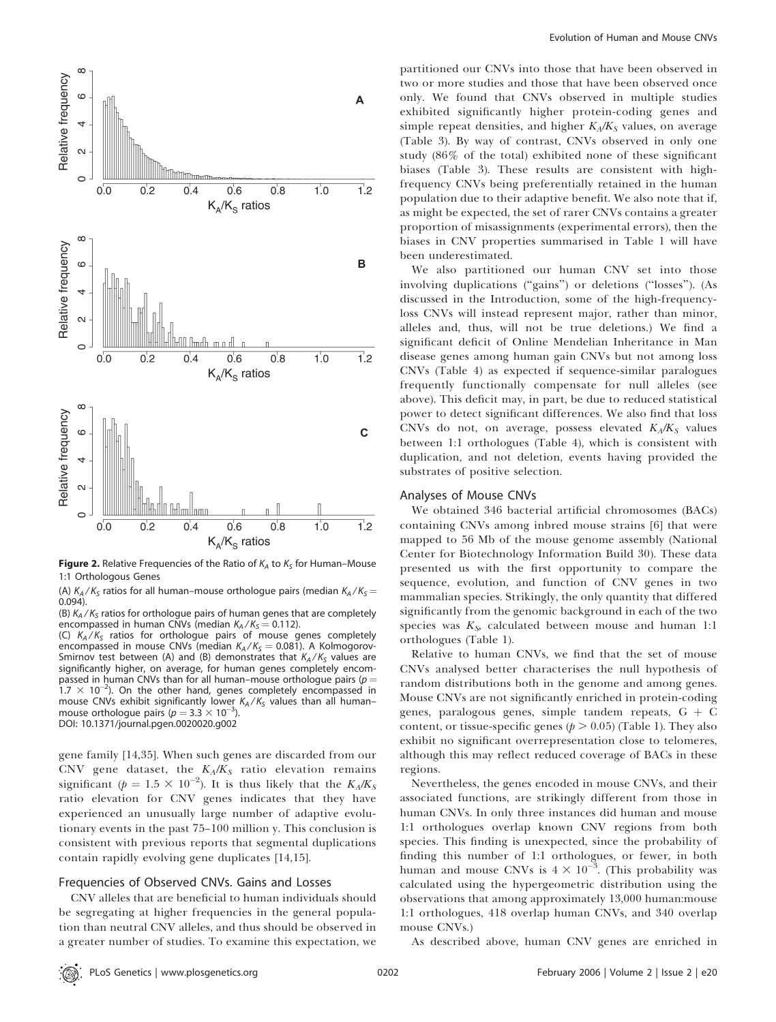

**Figure 2.** Relative Frequencies of the Ratio of  $K_A$  to  $K_S$  for Human–Mouse 1:1 Orthologous Genes

(A)  $K_A/K_S$  ratios for all human–mouse orthologue pairs (median  $K_A/K_S =$ 0.094).

(B)  $K_A/K_S$  ratios for orthologue pairs of human genes that are completely encompassed in human CNVs (median  $K_A/K_S = 0.112$ ).

(C)  $K_A/K_S$  ratios for orthologue pairs of mouse genes completely encompassed in mouse CNVs (median  $K_A/K_S = 0.081$ ). A Kolmogorov-Smirnov test between (A) and (B) demonstrates that  $K_A/K_S$  values are significantly higher, on average, for human genes completely encompassed in human CNVs than for all human–mouse orthologue pairs ( $p =$  $1.7 \times 10^{-2}$ ). On the other hand, genes completely encompassed in mouse CNVs exhibit significantly lower  $K_A/K_S$  values than all humanmouse orthologue pairs ( $p = 3.3 \times 10^{-3}$ ). DOI: 10.1371/journal.pgen.0020020.g002

gene family [14,35]. When such genes are discarded from our CNV gene dataset, the  $K_A/K_S$  ratio elevation remains significant ( $p = 1.5 \times 10^{-2}$ ). It is thus likely that the  $K_A/K_S$ ratio elevation for CNV genes indicates that they have experienced an unusually large number of adaptive evolutionary events in the past 75–100 million y. This conclusion is consistent with previous reports that segmental duplications contain rapidly evolving gene duplicates [14,15].

# Frequencies of Observed CNVs. Gains and Losses

CNV alleles that are beneficial to human individuals should be segregating at higher frequencies in the general population than neutral CNV alleles, and thus should be observed in a greater number of studies. To examine this expectation, we

partitioned our CNVs into those that have been observed in two or more studies and those that have been observed once only. We found that CNVs observed in multiple studies exhibited significantly higher protein-coding genes and simple repeat densities, and higher  $K_A/K_S$  values, on average (Table 3). By way of contrast, CNVs observed in only one study (86% of the total) exhibited none of these significant biases (Table 3). These results are consistent with highfrequency CNVs being preferentially retained in the human population due to their adaptive benefit. We also note that if, as might be expected, the set of rarer CNVs contains a greater proportion of misassignments (experimental errors), then the biases in CNV properties summarised in Table 1 will have been underestimated.

We also partitioned our human CNV set into those involving duplications (''gains'') or deletions (''losses''). (As discussed in the Introduction, some of the high-frequencyloss CNVs will instead represent major, rather than minor, alleles and, thus, will not be true deletions.) We find a significant deficit of Online Mendelian Inheritance in Man disease genes among human gain CNVs but not among loss CNVs (Table 4) as expected if sequence-similar paralogues frequently functionally compensate for null alleles (see above). This deficit may, in part, be due to reduced statistical power to detect significant differences. We also find that loss CNVs do not, on average, possess elevated  $K_A/K_S$  values between 1:1 orthologues (Table 4), which is consistent with duplication, and not deletion, events having provided the substrates of positive selection.

### Analyses of Mouse CNVs

We obtained 346 bacterial artificial chromosomes (BACs) containing CNVs among inbred mouse strains [6] that were mapped to 56 Mb of the mouse genome assembly (National Center for Biotechnology Information Build 30). These data presented us with the first opportunity to compare the sequence, evolution, and function of CNV genes in two mammalian species. Strikingly, the only quantity that differed significantly from the genomic background in each of the two species was  $K<sub>S</sub>$ , calculated between mouse and human 1:1 orthologues (Table 1).

Relative to human CNVs, we find that the set of mouse CNVs analysed better characterises the null hypothesis of random distributions both in the genome and among genes. Mouse CNVs are not significantly enriched in protein-coding genes, paralogous genes, simple tandem repeats,  $G + C$ content, or tissue-specific genes ( $p > 0.05$ ) (Table 1). They also exhibit no significant overrepresentation close to telomeres, although this may reflect reduced coverage of BACs in these regions.

Nevertheless, the genes encoded in mouse CNVs, and their associated functions, are strikingly different from those in human CNVs. In only three instances did human and mouse 1:1 orthologues overlap known CNV regions from both species. This finding is unexpected, since the probability of finding this number of 1:1 orthologues, or fewer, in both human and mouse CNVs is  $4 \times 10^{-3}$ . (This probability was calculated using the hypergeometric distribution using the observations that among approximately 13,000 human:mouse 1:1 orthologues, 418 overlap human CNVs, and 340 overlap mouse CNVs.)

As described above, human CNV genes are enriched in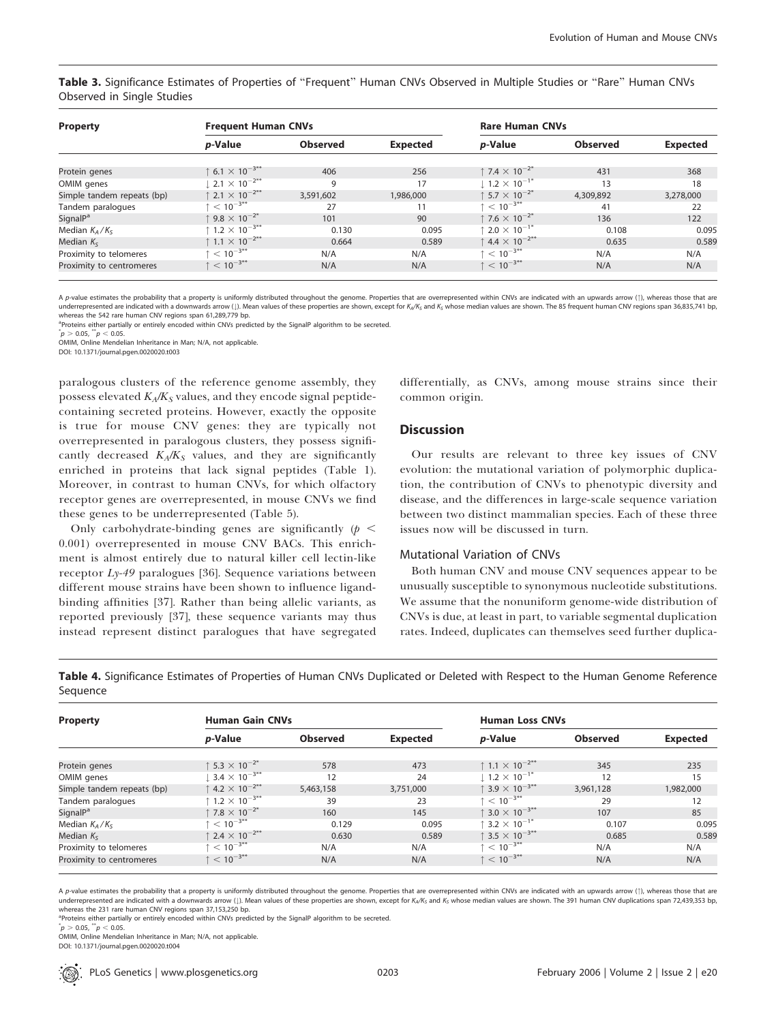Table 3. Significance Estimates of Properties of "Frequent" Human CNVs Observed in Multiple Studies or "Rare" Human CNVs Observed in Single Studies

| <b>Property</b>            | <b>Frequent Human CNVs</b>                 |                 |                 | <b>Rare Human CNVs</b>                    |                 |                 |
|----------------------------|--------------------------------------------|-----------------|-----------------|-------------------------------------------|-----------------|-----------------|
|                            | p-Value                                    | <b>Observed</b> | <b>Expected</b> | <i>p</i> -Value                           | <b>Observed</b> | <b>Expected</b> |
| Protein genes              | $\uparrow$ 6.1 $\times$ 10 <sup>-3**</sup> | 406             | 256             | ↑ 7.4 $\times$ 10 <sup>-2*</sup>          | 431             | 368             |
| OMIM genes                 | $2.1 \times 10^{-2**}$                     | 9               | 17              | $1.2 \times 10^{-1*}$                     | 13              | 18              |
| Simple tandem repeats (bp) | $\uparrow$ 2.1 $\times$ 10 <sup>-2**</sup> | 3,591,602       | 1,986,000       | ↑ 5.7 $\times$ 10 <sup>-2*</sup>          | 4,309,892       | 3,278,000       |
| Tandem paralogues          | $\uparrow$ < 10 <sup>-3**</sup>            | 27              | 11              | $\uparrow$ < 10 <sup>-3**</sup>           | 41              | 22              |
| SignalP <sup>a</sup>       | ↑ 9.8 $\times$ 10 <sup>-2*</sup>           | 101             | 90              | $\uparrow$ 7.6 $\times$ 10 <sup>-2*</sup> | 136             | 122             |
| Median $K_A/K_S$           | $\hbar$ 1.2 $\times$ 10 $^{-3**}$          | 0.130           | 0.095           | $\cdot$ 2.0 $\times$ 10 $^{-1*}$          | 0.108           | 0.095           |
| Median $K_{S}$             | ↑ 1.1 $\times$ 10 <sup>-2**</sup>          | 0.664           | 0.589           | ↑ 4.4 $\times$ 10 <sup>-2**</sup>         | 0.635           | 0.589           |
| Proximity to telomeres     | $\upharpoonright$ $< 10^{-3**}$            | N/A             | N/A             | $\zeta$ $< 10^{-3**}$                     | N/A             | N/A             |
| Proximity to centromeres   | $\uparrow$ < 10 <sup>-3**</sup>            | N/A             | N/A             | $\uparrow$ < 10 <sup>-3**</sup>           | N/A             | N/A             |

A p-value estimates the probability that a property is uniformly distributed throughout the genome. Properties that are overrepresented within CNVs are indicated with an upwards arrow (1), whereas those that are underrepresented are indicated with a downwards arrow (1). Mean values of these properties are shown, except for K<sub>A</sub>/K<sub>S</sub> and K<sub>S</sub> whose median values are shown. The 85 frequent human CNV regions span 36,835,741 bp, whereas the 542 rare human CNV regions span 61,289,779 bp.

<sup>a</sup>Proteins either partially or entirely encoded within CNVs predicted by the SignalP algorithm to be secreted.

 $p > 0.05$ ,  $\sqrt[3^n]{p} < 0.05$ .

OMIM, Online Mendelian Inheritance in Man; N/A, not applicable.

DOI: 10.1371/journal.pgen.0020020.t003

paralogous clusters of the reference genome assembly, they possess elevated  $K_A/K_S$  values, and they encode signal peptidecontaining secreted proteins. However, exactly the opposite is true for mouse CNV genes: they are typically not overrepresented in paralogous clusters, they possess significantly decreased  $K_A/K_S$  values, and they are significantly enriched in proteins that lack signal peptides (Table 1). Moreover, in contrast to human CNVs, for which olfactory receptor genes are overrepresented, in mouse CNVs we find these genes to be underrepresented (Table 5).

Only carbohydrate-binding genes are significantly  $(p <$ 0.001) overrepresented in mouse CNV BACs. This enrichment is almost entirely due to natural killer cell lectin-like receptor Ly-49 paralogues [36]. Sequence variations between different mouse strains have been shown to influence ligandbinding affinities [37]. Rather than being allelic variants, as reported previously [37], these sequence variants may thus instead represent distinct paralogues that have segregated differentially, as CNVs, among mouse strains since their common origin.

### **Discussion**

Our results are relevant to three key issues of CNV evolution: the mutational variation of polymorphic duplication, the contribution of CNVs to phenotypic diversity and disease, and the differences in large-scale sequence variation between two distinct mammalian species. Each of these three issues now will be discussed in turn.

### Mutational Variation of CNVs

Both human CNV and mouse CNV sequences appear to be unusually susceptible to synonymous nucleotide substitutions. We assume that the nonuniform genome-wide distribution of CNVs is due, at least in part, to variable segmental duplication rates. Indeed, duplicates can themselves seed further duplica-

Table 4. Significance Estimates of Properties of Human CNVs Duplicated or Deleted with Respect to the Human Genome Reference Sequence

| Property                   | <b>Human Gain CNVs</b>                         |                 |           | <b>Human Loss CNVs</b>                     |                 |                 |
|----------------------------|------------------------------------------------|-----------------|-----------|--------------------------------------------|-----------------|-----------------|
|                            | p-Value                                        | <b>Observed</b> | Expected  | <i>p</i> -Value                            | <b>Observed</b> | <b>Expected</b> |
| Protein genes              | $5.3 \times 10^{-2}$                           | 578             | 473       | ↑ 1.1 $\times$ 10 <sup>-2**</sup>          | 345             | 235             |
| OMIM genes                 | $3.4 \times 10^{-3**}$                         | 12              | 24        | $1.2 \times 10^{-1*}$                      | 12              | 15              |
| Simple tandem repeats (bp) | $\uparrow$ 4.2 $\times$ 10 <sup>-2**</sup>     | 5,463,158       | 3,751,000 | $\uparrow$ 3.9 $\times$ 10 <sup>-3**</sup> | 3,961,128       | 1,982,000       |
| Tandem paralogues          | $\,^{\dagger}$ 1.2 $\times$ 10 <sup>-3**</sup> | 39              | 23        | $\uparrow$ < 10 <sup>-3**</sup>            | 29              | 12              |
| SignalP <sup>a</sup>       | $\uparrow$ 7.8 $\times$ 10 $^{-2^{*}}$         | 160             | 145       | $\uparrow$ 3.0 $\times$ 10 <sup>-3**</sup> | 107             | 85              |
| Median $K_A/K_S$           | $\zeta$ + $< 10^{-3**}$                        | 0.129           | 0.095     | $\uparrow$ 3.2 $\times$ 10 $^{-1^{\ast}}$  | 0.107           | 0.095           |
| Median $K_s$               | 1 2.4 $\times$ 10 <sup>-2**</sup>              | 0.630           | 0.589     | $\uparrow$ 3.5 $\times$ 10 <sup>-3**</sup> | 0.685           | 0.589           |
| Proximity to telomeres     | $\leq 10^{-3**}$                               | N/A             | N/A       | $\uparrow$ < 10 <sup>-3**</sup>            | N/A             | N/A             |
| Proximity to centromeres   | $\uparrow$ < 10 <sup>-3**</sup>                | N/A             | N/A       | $\uparrow$ < 10 <sup>-3**</sup>            | N/A             | N/A             |

A p-value estimates the probability that a property is uniformly distributed throughout the genome. Properties that are overrepresented within CNVs are indicated with an upwards arrow (1), whereas those that are underrepresented are indicated with a downwards arrow (!). Mean values of these properties are shown, except for K<sub>A</sub>/K<sub>S</sub> and K<sub>S</sub> whose median values are shown. The 391 human CNV duplications span 72,439,353 bp, whereas the 231 rare human CNV regions span 37,153,250 bp.

<sup>a</sup>Proteins either partially or entirely encoded within CNVs predicted by the SignalP algorithm to be secreted.

 $p > 0.05, \sqrt[3n]{p} < 0.05.$ 

OMIM, Online Mendelian Inheritance in Man; N/A, not applicable.

DOI: 10.1371/journal.pgen.0020020.t004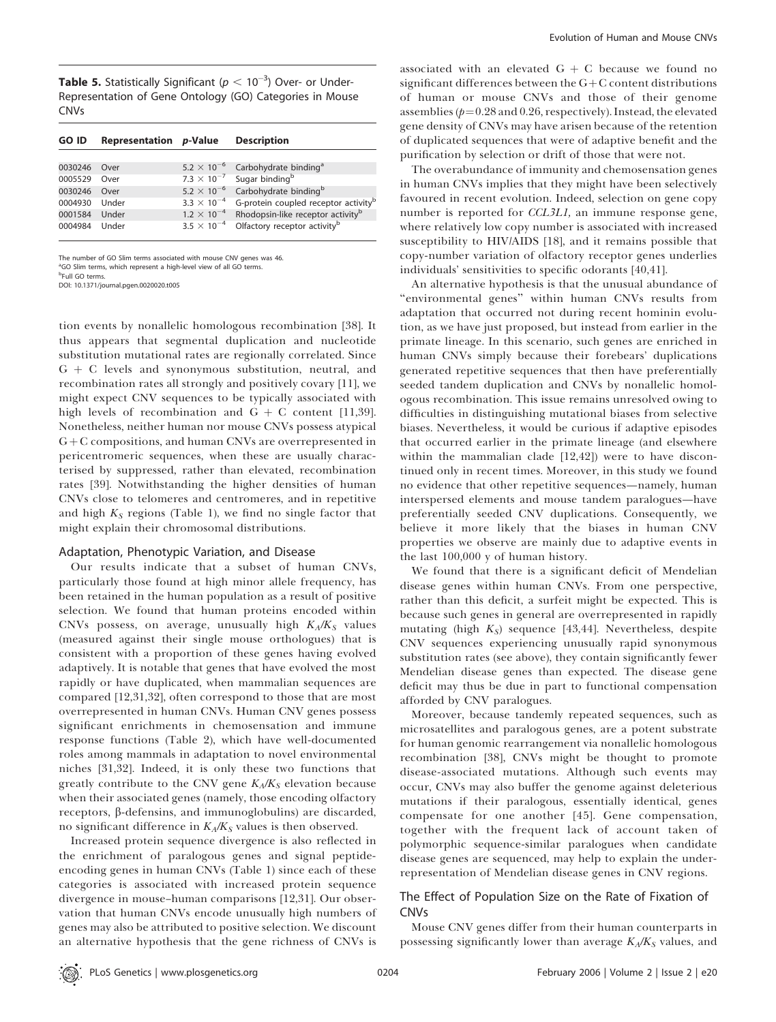**Table 5.** Statistically Significant ( $p < 10^{-3}$ ) Over- or Under-Representation of Gene Ontology (GO) Categories in Mouse CNVs

| <b>GO ID</b> | <b>Representation p-Value</b> |                      | <b>Description</b>                                       |
|--------------|-------------------------------|----------------------|----------------------------------------------------------|
|              |                               |                      |                                                          |
| 0030246      | Over                          | $5.2 \times 10^{-6}$ | Carbohydrate binding <sup>a</sup>                        |
| 0005529      | Over                          |                      | 7.3 $\times$ 10 <sup>-7</sup> Sugar binding <sup>b</sup> |
| 0030246      | Over                          | $5.2 \times 10^{-6}$ | Carbohydrate binding <sup>b</sup>                        |
| 0004930      | Under                         | $3.3 \times 10^{-4}$ | G-protein coupled receptor activity <sup>b</sup>         |
| 0001584      | Under                         | $1.2 \times 10^{-4}$ | Rhodopsin-like receptor activity <sup>b</sup>            |
| 0004984      | Under                         | $3.5 \times 10^{-4}$ | Olfactory receptor activity <sup>b</sup>                 |

The number of GO Slim terms associated with mouse CNV genes was 46.

<sup>a</sup>GO Slim terms, which represent a high-level view of all GO terms.

<sup>b</sup>Full GO terms. DOI: 10.1371/journal.pgen.0020020.t005

tion events by nonallelic homologous recombination [38]. It thus appears that segmental duplication and nucleotide substitution mutational rates are regionally correlated. Since  $G + C$  levels and synonymous substitution, neutral, and recombination rates all strongly and positively covary [11], we might expect CNV sequences to be typically associated with high levels of recombination and  $G + C$  content [11,39]. Nonetheless, neither human nor mouse CNVs possess atypical  $G + C$  compositions, and human CNVs are overrepresented in pericentromeric sequences, when these are usually characterised by suppressed, rather than elevated, recombination rates [39]. Notwithstanding the higher densities of human CNVs close to telomeres and centromeres, and in repetitive and high  $K_S$  regions (Table 1), we find no single factor that might explain their chromosomal distributions.

#### Adaptation, Phenotypic Variation, and Disease

Our results indicate that a subset of human CNVs, particularly those found at high minor allele frequency, has been retained in the human population as a result of positive selection. We found that human proteins encoded within CNVs possess, on average, unusually high  $K_A/K_S$  values (measured against their single mouse orthologues) that is consistent with a proportion of these genes having evolved adaptively. It is notable that genes that have evolved the most rapidly or have duplicated, when mammalian sequences are compared [12,31,32], often correspond to those that are most overrepresented in human CNVs. Human CNV genes possess significant enrichments in chemosensation and immune response functions (Table 2), which have well-documented roles among mammals in adaptation to novel environmental niches [31,32]. Indeed, it is only these two functions that greatly contribute to the CNV gene  $K_A/K_S$  elevation because when their associated genes (namely, those encoding olfactory receptors, *b*-defensins, and immunoglobulins) are discarded, no significant difference in  $K_A/K_S$  values is then observed.

Increased protein sequence divergence is also reflected in the enrichment of paralogous genes and signal peptideencoding genes in human CNVs (Table 1) since each of these categories is associated with increased protein sequence divergence in mouse–human comparisons [12,31]. Our observation that human CNVs encode unusually high numbers of genes may also be attributed to positive selection. We discount an alternative hypothesis that the gene richness of CNVs is

associated with an elevated  $G + C$  because we found no significant differences between the  $G+C$  content distributions of human or mouse CNVs and those of their genome assemblies  $(p=0.28$  and 0.26, respectively). Instead, the elevated gene density of CNVs may have arisen because of the retention of duplicated sequences that were of adaptive benefit and the purification by selection or drift of those that were not.

The overabundance of immunity and chemosensation genes in human CNVs implies that they might have been selectively favoured in recent evolution. Indeed, selection on gene copy number is reported for CCL3L1, an immune response gene, where relatively low copy number is associated with increased susceptibility to HIV/AIDS [18], and it remains possible that copy-number variation of olfactory receptor genes underlies individuals' sensitivities to specific odorants [40,41].

An alternative hypothesis is that the unusual abundance of ''environmental genes'' within human CNVs results from adaptation that occurred not during recent hominin evolution, as we have just proposed, but instead from earlier in the primate lineage. In this scenario, such genes are enriched in human CNVs simply because their forebears' duplications generated repetitive sequences that then have preferentially seeded tandem duplication and CNVs by nonallelic homologous recombination. This issue remains unresolved owing to difficulties in distinguishing mutational biases from selective biases. Nevertheless, it would be curious if adaptive episodes that occurred earlier in the primate lineage (and elsewhere within the mammalian clade [12,42]) were to have discontinued only in recent times. Moreover, in this study we found no evidence that other repetitive sequences—namely, human interspersed elements and mouse tandem paralogues—have preferentially seeded CNV duplications. Consequently, we believe it more likely that the biases in human CNV properties we observe are mainly due to adaptive events in the last 100,000 y of human history.

We found that there is a significant deficit of Mendelian disease genes within human CNVs. From one perspective, rather than this deficit, a surfeit might be expected. This is because such genes in general are overrepresented in rapidly mutating (high  $K_S$ ) sequence [43,44]. Nevertheless, despite CNV sequences experiencing unusually rapid synonymous substitution rates (see above), they contain significantly fewer Mendelian disease genes than expected. The disease gene deficit may thus be due in part to functional compensation afforded by CNV paralogues.

Moreover, because tandemly repeated sequences, such as microsatellites and paralogous genes, are a potent substrate for human genomic rearrangement via nonallelic homologous recombination [38], CNVs might be thought to promote disease-associated mutations. Although such events may occur, CNVs may also buffer the genome against deleterious mutations if their paralogous, essentially identical, genes compensate for one another [45]. Gene compensation, together with the frequent lack of account taken of polymorphic sequence-similar paralogues when candidate disease genes are sequenced, may help to explain the underrepresentation of Mendelian disease genes in CNV regions.

# The Effect of Population Size on the Rate of Fixation of CNVs

Mouse CNV genes differ from their human counterparts in possessing significantly lower than average  $K_A/K_S$  values, and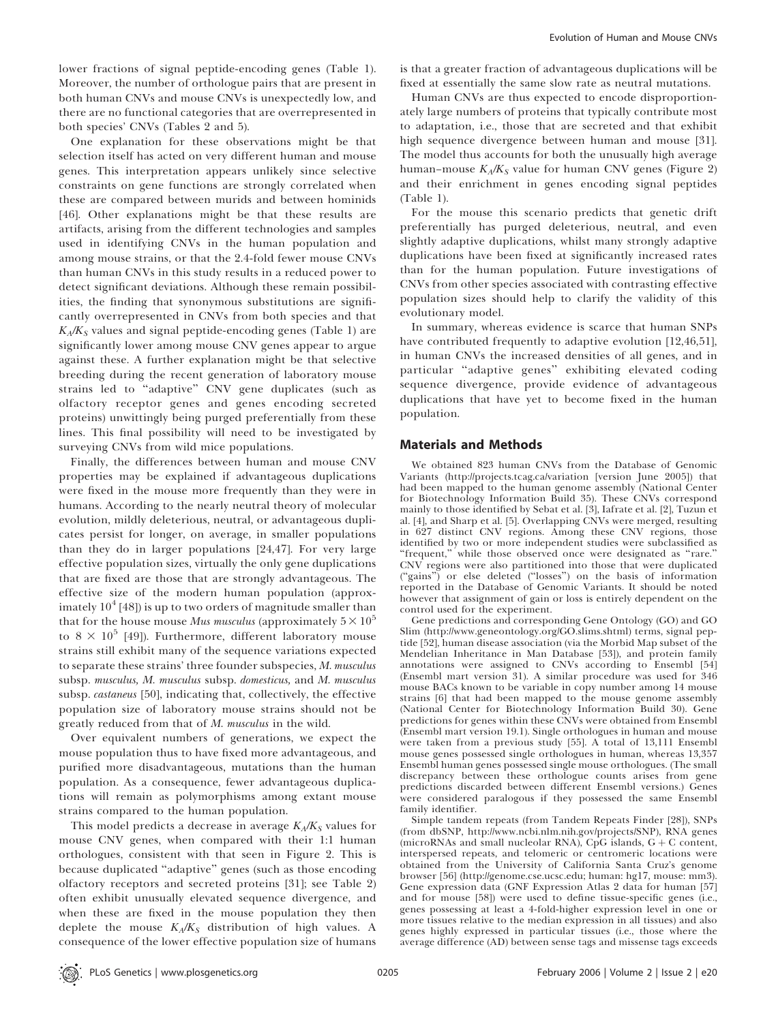lower fractions of signal peptide-encoding genes (Table 1). Moreover, the number of orthologue pairs that are present in both human CNVs and mouse CNVs is unexpectedly low, and there are no functional categories that are overrepresented in both species' CNVs (Tables 2 and 5).

One explanation for these observations might be that selection itself has acted on very different human and mouse genes. This interpretation appears unlikely since selective constraints on gene functions are strongly correlated when these are compared between murids and between hominids [46]. Other explanations might be that these results are artifacts, arising from the different technologies and samples used in identifying CNVs in the human population and among mouse strains, or that the 2.4-fold fewer mouse CNVs than human CNVs in this study results in a reduced power to detect significant deviations. Although these remain possibilities, the finding that synonymous substitutions are significantly overrepresented in CNVs from both species and that  $K_A/K_S$  values and signal peptide-encoding genes (Table 1) are significantly lower among mouse CNV genes appear to argue against these. A further explanation might be that selective breeding during the recent generation of laboratory mouse strains led to ''adaptive'' CNV gene duplicates (such as olfactory receptor genes and genes encoding secreted proteins) unwittingly being purged preferentially from these lines. This final possibility will need to be investigated by surveying CNVs from wild mice populations.

Finally, the differences between human and mouse CNV properties may be explained if advantageous duplications were fixed in the mouse more frequently than they were in humans. According to the nearly neutral theory of molecular evolution, mildly deleterious, neutral, or advantageous duplicates persist for longer, on average, in smaller populations than they do in larger populations [24,47]. For very large effective population sizes, virtually the only gene duplications that are fixed are those that are strongly advantageous. The effective size of the modern human population (approximately  $10^4$  [48]) is up to two orders of magnitude smaller than that for the house mouse *Mus musculus* (approximately  $5 \times 10^5$ ) to  $8 \times 10^5$  [49]). Furthermore, different laboratory mouse strains still exhibit many of the sequence variations expected to separate these strains' three founder subspecies, M. musculus subsp. musculus, M. musculus subsp. domesticus, and M. musculus subsp. castaneus [50], indicating that, collectively, the effective population size of laboratory mouse strains should not be greatly reduced from that of M. musculus in the wild.

Over equivalent numbers of generations, we expect the mouse population thus to have fixed more advantageous, and purified more disadvantageous, mutations than the human population. As a consequence, fewer advantageous duplications will remain as polymorphisms among extant mouse strains compared to the human population.

This model predicts a decrease in average  $K_A/K_S$  values for mouse CNV genes, when compared with their 1:1 human orthologues, consistent with that seen in Figure 2. This is because duplicated ''adaptive'' genes (such as those encoding olfactory receptors and secreted proteins [31]; see Table 2) often exhibit unusually elevated sequence divergence, and when these are fixed in the mouse population they then deplete the mouse  $K_A/K_S$  distribution of high values. A consequence of the lower effective population size of humans is that a greater fraction of advantageous duplications will be fixed at essentially the same slow rate as neutral mutations.

Human CNVs are thus expected to encode disproportionately large numbers of proteins that typically contribute most to adaptation, i.e., those that are secreted and that exhibit high sequence divergence between human and mouse [31]. The model thus accounts for both the unusually high average human–mouse  $K_A/K_S$  value for human CNV genes (Figure 2) and their enrichment in genes encoding signal peptides (Table 1).

For the mouse this scenario predicts that genetic drift preferentially has purged deleterious, neutral, and even slightly adaptive duplications, whilst many strongly adaptive duplications have been fixed at significantly increased rates than for the human population. Future investigations of CNVs from other species associated with contrasting effective population sizes should help to clarify the validity of this evolutionary model.

In summary, whereas evidence is scarce that human SNPs have contributed frequently to adaptive evolution [12,46,51], in human CNVs the increased densities of all genes, and in particular ''adaptive genes'' exhibiting elevated coding sequence divergence, provide evidence of advantageous duplications that have yet to become fixed in the human population.

# Materials and Methods

We obtained 823 human CNVs from the Database of Genomic Variants (http://projects.tcag.ca/variation [version June 2005]) that had been mapped to the human genome assembly (National Center for Biotechnology Information Build 35). These CNVs correspond mainly to those identified by Sebat et al. [3], Iafrate et al. [2], Tuzun et al. [4], and Sharp et al. [5]. Overlapping CNVs were merged, resulting in 627 distinct CNV regions. Among these CNV regions, those identified by two or more independent studies were subclassified as ''frequent,'' while those observed once were designated as ''rare.'' CNV regions were also partitioned into those that were duplicated (''gains'') or else deleted (''losses'') on the basis of information reported in the Database of Genomic Variants. It should be noted however that assignment of gain or loss is entirely dependent on the control used for the experiment.

Gene predictions and corresponding Gene Ontology (GO) and GO Slim (http://www.geneontology.org/GO.slims.shtml) terms, signal peptide [52], human disease association (via the Morbid Map subset of the Mendelian Inheritance in Man Database [53]), and protein family annotations were assigned to CNVs according to Ensembl [54] (Ensembl mart version 31). A similar procedure was used for 346 mouse BACs known to be variable in copy number among 14 mouse strains [6] that had been mapped to the mouse genome assembly (National Center for Biotechnology Information Build 30). Gene predictions for genes within these CNVs were obtained from Ensembl (Ensembl mart version 19.1). Single orthologues in human and mouse were taken from a previous study [55]. A total of 13,111 Ensembl mouse genes possessed single orthologues in human, whereas 13,357 Ensembl human genes possessed single mouse orthologues. (The small discrepancy between these orthologue counts arises from gene predictions discarded between different Ensembl versions.) Genes were considered paralogous if they possessed the same Ensembl family identifier.

Simple tandem repeats (from Tandem Repeats Finder [28]), SNPs (from dbSNP, http://www.ncbi.nlm.nih.gov/projects/SNP), RNA genes (microRNAs and small nucleolar RNA), CpG islands,  $G + C$  content, interspersed repeats, and telomeric or centromeric locations were obtained from the University of California Santa Cruz's genome browser [56] (http://genome.cse.ucsc.edu; human: hg17, mouse: mm3). Gene expression data (GNF Expression Atlas 2 data for human [57] and for mouse [58]) were used to define tissue-specific genes (i.e., genes possessing at least a 4-fold-higher expression level in one or more tissues relative to the median expression in all tissues) and also genes highly expressed in particular tissues (i.e., those where the average difference (AD) between sense tags and missense tags exceeds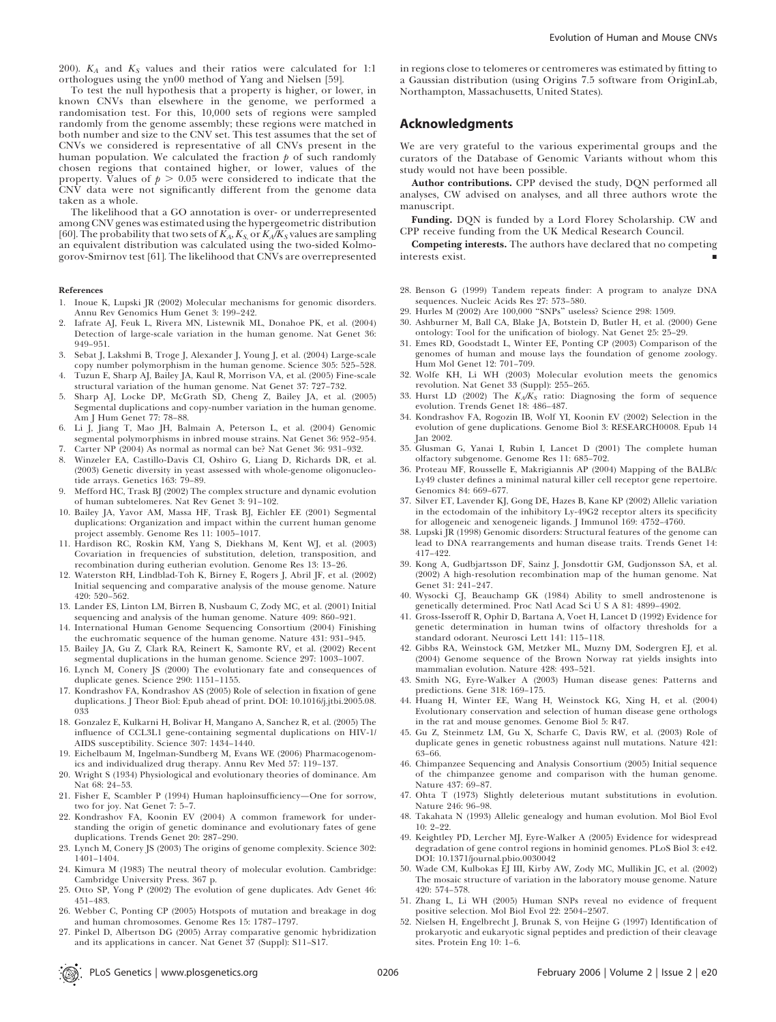200).  $K_A$  and  $K_S$  values and their ratios were calculated for 1:1 orthologues using the yn00 method of Yang and Nielsen [59].

To test the null hypothesis that a property is higher, or lower, in known CNVs than elsewhere in the genome, we performed a randomisation test. For this, 10,000 sets of regions were sampled randomly from the genome assembly; these regions were matched in both number and size to the CNV set. This test assumes that the set of CNVs we considered is representative of all CNVs present in the human population. We calculated the fraction  $p$  of such randomly chosen regions that contained higher, or lower, values of the property. Values of  $p > 0.05$  were considered to indicate that the CNV data were not significantly different from the genome data taken as a whole.

The likelihood that a GO annotation is over- or underrepresented among CNV genes was estimated using the hypergeometric distribution [60]. The probability that two sets of  $K_A$ ,  $K_S$  or  $K_A/K_S$  values are sampling an equivalent distribution was calculated using the two-sided Kolmogorov-Smirnov test [61]. The likelihood that CNVs are overrepresented

#### References

- 1. Inoue K, Lupski JR (2002) Molecular mechanisms for genomic disorders. Annu Rev Genomics Hum Genet 3: 199–242.
- 2. Iafrate AJ, Feuk L, Rivera MN, Listewnik ML, Donahoe PK, et al. (2004) Detection of large-scale variation in the human genome. Nat Genet 36: 949–951.
- 3. Sebat J, Lakshmi B, Troge J, Alexander J, Young J, et al. (2004) Large-scale copy number polymorphism in the human genome. Science 305: 525–528.
- 4. Tuzun E, Sharp AJ, Bailey JA, Kaul R, Morrison VA, et al. (2005) Fine-scale structural variation of the human genome. Nat Genet 37: 727–732.
- 5. Sharp AJ, Locke DP, McGrath SD, Cheng Z, Bailey JA, et al. (2005) Segmental duplications and copy-number variation in the human genome. Am J Hum Genet 77: 78–88.
- 6. Li J, Jiang T, Mao JH, Balmain A, Peterson L, et al. (2004) Genomic segmental polymorphisms in inbred mouse strains. Nat Genet 36: 952–954.
- 7. Carter NP (2004) As normal as normal can be? Nat Genet 36: 931–932.
- 8. Winzeler EA, Castillo-Davis CI, Oshiro G, Liang D, Richards DR, et al. (2003) Genetic diversity in yeast assessed with whole-genome oligonucleotide arrays. Genetics 163: 79–89.
- 9. Mefford HC, Trask BJ (2002) The complex structure and dynamic evolution of human subtelomeres. Nat Rev Genet 3: 91–102.
- 10. Bailey JA, Yavor AM, Massa HF, Trask BJ, Eichler EE (2001) Segmental duplications: Organization and impact within the current human genome project assembly. Genome Res 11: 1005–1017.
- 11. Hardison RC, Roskin KM, Yang S, Diekhans M, Kent WJ, et al. (2003) Covariation in frequencies of substitution, deletion, transposition, and recombination during eutherian evolution. Genome Res 13: 13–26.
- 12. Waterston RH, Lindblad-Toh K, Birney E, Rogers J, Abril JF, et al. (2002) Initial sequencing and comparative analysis of the mouse genome. Nature 420: 520–562.
- 13. Lander ES, Linton LM, Birren B, Nusbaum C, Zody MC, et al. (2001) Initial sequencing and analysis of the human genome. Nature 409: 860–921.
- 14. International Human Genome Sequencing Consortium (2004) Finishing the euchromatic sequence of the human genome. Nature 431: 931–945.
- 15. Bailey JA, Gu Z, Clark RA, Reinert K, Samonte RV, et al. (2002) Recent segmental duplications in the human genome. Science 297: 1003–1007.
- 16. Lynch M, Conery JS (2000) The evolutionary fate and consequences of duplicate genes. Science 290: 1151–1155.
- 17. Kondrashov FA, Kondrashov AS (2005) Role of selection in fixation of gene duplications. J Theor Biol: Epub ahead of print. DOI: 10.1016/j.jtbi.2005.08. 033
- 18. Gonzalez E, Kulkarni H, Bolivar H, Mangano A, Sanchez R, et al. (2005) The influence of CCL3L1 gene-containing segmental duplications on HIV-1/ AIDS susceptibility. Science 307: 1434–1440.
- 19. Eichelbaum M, Ingelman-Sundberg M, Evans WE (2006) Pharmacogenomics and individualized drug therapy. Annu Rev Med 57: 119–137.
- 20. Wright S (1934) Physiological and evolutionary theories of dominance. Am Nat 68: 24–53.
- 21. Fisher E, Scambler P (1994) Human haploinsufficiency—One for sorrow, two for joy. Nat Genet 7: 5–7.
- 22. Kondrashov FA, Koonin EV (2004) A common framework for understanding the origin of genetic dominance and evolutionary fates of gene duplications. Trends Genet 20: 287–290.
- 23. Lynch M, Conery JS (2003) The origins of genome complexity. Science 302: 1401–1404.
- 24. Kimura M (1983) The neutral theory of molecular evolution. Cambridge: Cambridge University Press. 367 p.
- 25. Otto SP, Yong P (2002) The evolution of gene duplicates. Adv Genet 46: 451–483.
- 26. Webber C, Ponting CP (2005) Hotspots of mutation and breakage in dog and human chromosomes. Genome Res 15: 1787–1797.
- 27. Pinkel D, Albertson DG (2005) Array comparative genomic hybridization and its applications in cancer. Nat Genet 37 (Suppl): S11–S17.

in regions close to telomeres or centromeres was estimated by fitting to a Gaussian distribution (using Origins 7.5 software from OriginLab, Northampton, Massachusetts, United States).

# Acknowledgments

We are very grateful to the various experimental groups and the curators of the Database of Genomic Variants without whom this study would not have been possible.

Author contributions. CPP devised the study, DQN performed all analyses, CW advised on analyses, and all three authors wrote the manuscript.

Funding. DQN is funded by a Lord Florey Scholarship. CW and CPP receive funding from the UK Medical Research Council.

Competing interests. The authors have declared that no competing interests exist. *&*

- 28. Benson G (1999) Tandem repeats finder: A program to analyze DNA sequences. Nucleic Acids Res 27: 573–580. 29. Hurles M (2002) Are 100,000 ''SNPs'' useless? Science 298: 1509.
- 
- 30. Ashburner M, Ball CA, Blake JA, Botstein D, Butler H, et al. (2000) Gene ontology: Tool for the unification of biology. Nat Genet 25: 25–29.
- 31. Emes RD, Goodstadt L, Winter EE, Ponting CP (2003) Comparison of the genomes of human and mouse lays the foundation of genome zoology. Hum Mol Genet 12: 701–709.
- 32. Wolfe KH, Li WH (2003) Molecular evolution meets the genomics revolution. Nat Genet 33 (Suppl): 255–265.
- 33. Hurst LD (2002) The  $K_A/K_S$  ratio: Diagnosing the form of sequence evolution. Trends Genet 18: 486–487.
- 34. Kondrashov FA, Rogozin IB, Wolf YI, Koonin EV (2002) Selection in the evolution of gene duplications. Genome Biol 3: RESEARCH0008. Epub 14 Jan 2002.
- 35. Glusman G, Yanai I, Rubin I, Lancet D (2001) The complete human olfactory subgenome. Genome Res 11: 685–702.
- 36. Proteau MF, Rousselle E, Makrigiannis AP (2004) Mapping of the BALB/c Ly49 cluster defines a minimal natural killer cell receptor gene repertoire. Genomics 84: 669–677.
- 37. Silver ET, Lavender KJ, Gong DE, Hazes B, Kane KP (2002) Allelic variation in the ectodomain of the inhibitory Ly-49G2 receptor alters its specificity for allogeneic and xenogeneic ligands. J Immunol 169: 4752–4760.
- 38. Lupski JR (1998) Genomic disorders: Structural features of the genome can lead to DNA rearrangements and human disease traits. Trends Genet 14: 417–422.
- 39. Kong A, Gudbjartsson DF, Sainz J, Jonsdottir GM, Gudjonsson SA, et al. (2002) A high-resolution recombination map of the human genome. Nat Genet 31: 241–247.
- 40. Wysocki CJ, Beauchamp GK (1984) Ability to smell androstenone is genetically determined. Proc Natl Acad Sci U S A 81: 4899–4902.
- 41. Gross-Isseroff R, Ophir D, Bartana A, Voet H, Lancet D (1992) Evidence for genetic determination in human twins of olfactory thresholds for a standard odorant. Neurosci Lett 141: 115–118.
- 42. Gibbs RA, Weinstock GM, Metzker ML, Muzny DM, Sodergren EJ, et al. (2004) Genome sequence of the Brown Norway rat yields insights into mammalian evolution. Nature 428: 493–521.
- 43. Smith NG, Eyre-Walker A (2003) Human disease genes: Patterns and predictions. Gene 318: 169–175.
- 44. Huang H, Winter EE, Wang H, Weinstock KG, Xing H, et al. (2004) Evolutionary conservation and selection of human disease gene orthologs in the rat and mouse genomes. Genome Biol 5: R47.
- 45. Gu Z, Steinmetz LM, Gu X, Scharfe C, Davis RW, et al. (2003) Role of duplicate genes in genetic robustness against null mutations. Nature 421: 63–66.
- 46. Chimpanzee Sequencing and Analysis Consortium (2005) Initial sequence of the chimpanzee genome and comparison with the human genome. Nature 437: 69–87.
- 47. Ohta T (1973) Slightly deleterious mutant substitutions in evolution. Nature 246: 96–98.
- 48. Takahata N (1993) Allelic genealogy and human evolution. Mol Biol Evol 10: 2–22.
- 49. Keightley PD, Lercher MJ, Eyre-Walker A (2005) Evidence for widespread degradation of gene control regions in hominid genomes. PLoS Biol 3: e42. DOI: 10.1371/journal.pbio.0030042
- 50. Wade CM, Kulbokas EJ III, Kirby AW, Zody MC, Mullikin JC, et al. (2002) The mosaic structure of variation in the laboratory mouse genome. Nature 420: 574–578.
- 51. Zhang L, Li WH (2005) Human SNPs reveal no evidence of frequent positive selection. Mol Biol Evol 22: 2504–2507.
- 52. Nielsen H, Engelbrecht J, Brunak S, von Heijne G (1997) Identification of prokaryotic and eukaryotic signal peptides and prediction of their cleavage sites. Protein Eng 10: 1–6.